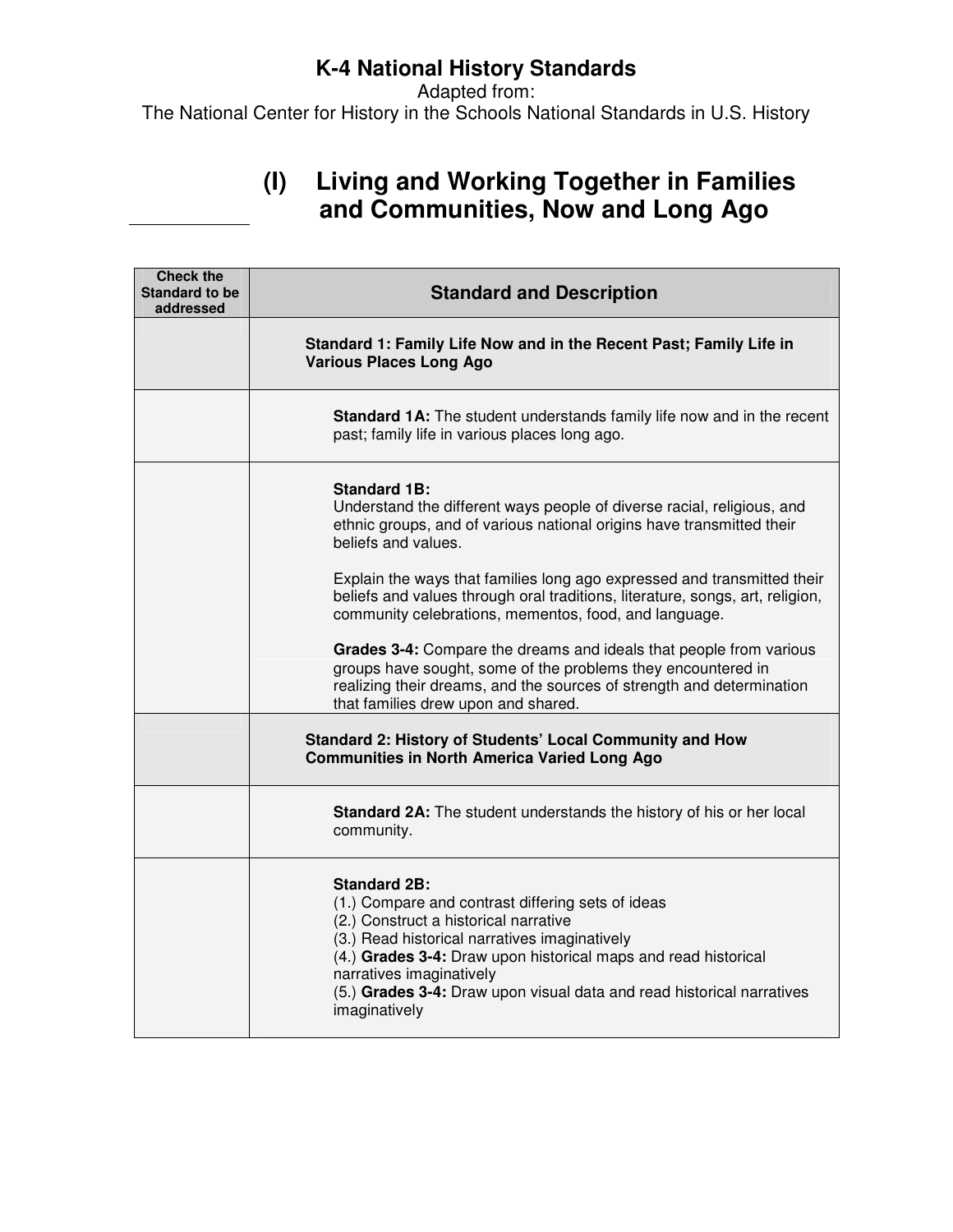Adapted from: The National Center for History in the Schools National Standards in U.S. History

### **(I) Living and Working Together in Families and Communities, Now and Long Ago**

| <b>Check the</b><br><b>Standard to be</b><br>addressed | <b>Standard and Description</b>                                                                                                                                                                                                                                                                                                                            |
|--------------------------------------------------------|------------------------------------------------------------------------------------------------------------------------------------------------------------------------------------------------------------------------------------------------------------------------------------------------------------------------------------------------------------|
|                                                        | Standard 1: Family Life Now and in the Recent Past; Family Life in<br><b>Various Places Long Ago</b>                                                                                                                                                                                                                                                       |
|                                                        | <b>Standard 1A:</b> The student understands family life now and in the recent<br>past; family life in various places long ago.                                                                                                                                                                                                                             |
|                                                        | <b>Standard 1B:</b><br>Understand the different ways people of diverse racial, religious, and<br>ethnic groups, and of various national origins have transmitted their<br>beliefs and values.                                                                                                                                                              |
|                                                        | Explain the ways that families long ago expressed and transmitted their<br>beliefs and values through oral traditions, literature, songs, art, religion,<br>community celebrations, mementos, food, and language.                                                                                                                                          |
|                                                        | Grades 3-4: Compare the dreams and ideals that people from various<br>groups have sought, some of the problems they encountered in<br>realizing their dreams, and the sources of strength and determination<br>that families drew upon and shared.                                                                                                         |
|                                                        | Standard 2: History of Students' Local Community and How<br><b>Communities in North America Varied Long Ago</b>                                                                                                                                                                                                                                            |
|                                                        | <b>Standard 2A:</b> The student understands the history of his or her local<br>community.                                                                                                                                                                                                                                                                  |
|                                                        | <b>Standard 2B:</b><br>(1.) Compare and contrast differing sets of ideas<br>(2.) Construct a historical narrative<br>(3.) Read historical narratives imaginatively<br>(4.) Grades 3-4: Draw upon historical maps and read historical<br>narratives imaginatively<br>(5.) Grades 3-4: Draw upon visual data and read historical narratives<br>imaginatively |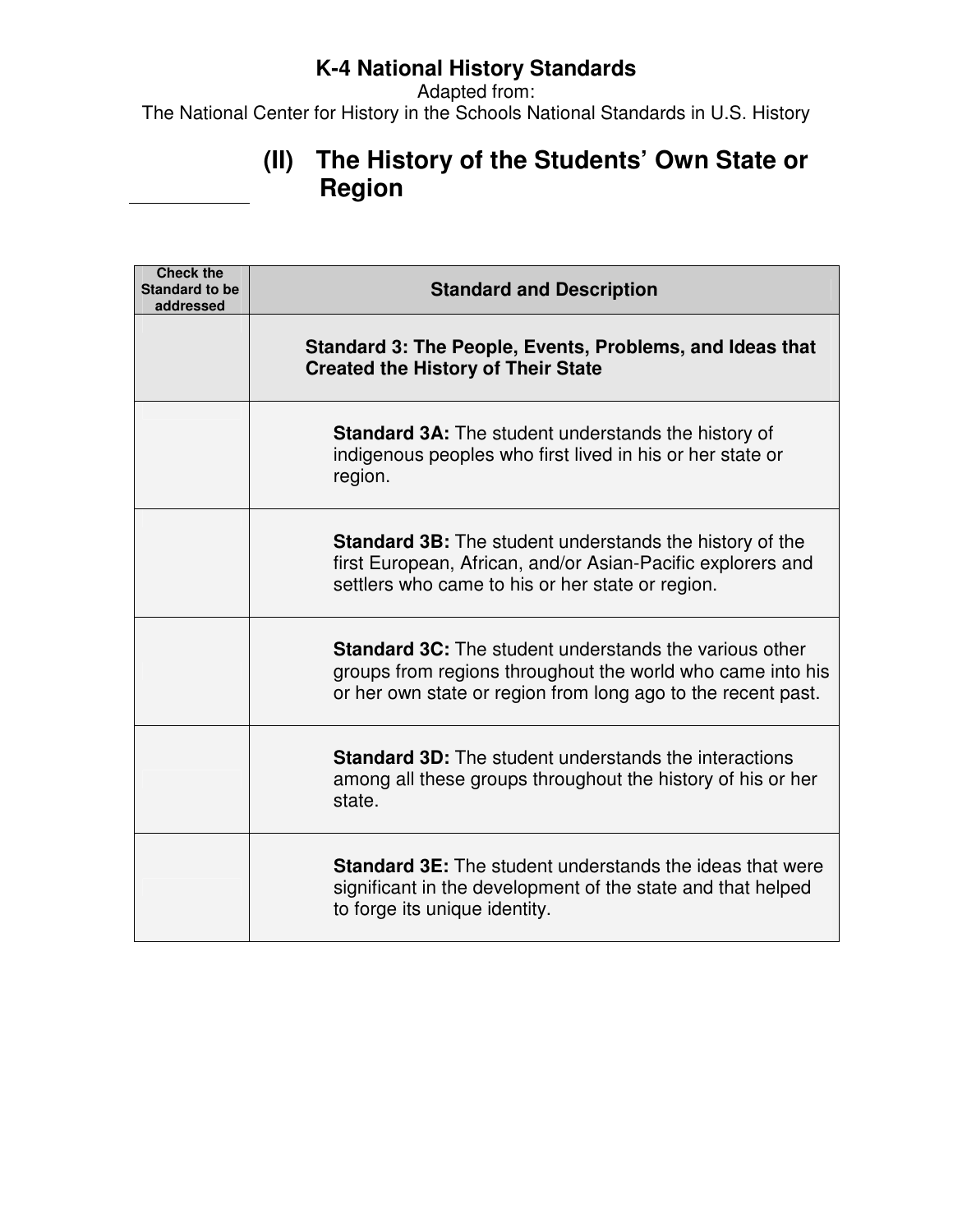Adapted from:

The National Center for History in the Schools National Standards in U.S. History

# **(II) The History of the Students' Own State or Region**

| <b>Check the</b><br><b>Standard to be</b><br>addressed | <b>Standard and Description</b>                                                                                                                                                             |
|--------------------------------------------------------|---------------------------------------------------------------------------------------------------------------------------------------------------------------------------------------------|
|                                                        | Standard 3: The People, Events, Problems, and Ideas that<br><b>Created the History of Their State</b>                                                                                       |
|                                                        | <b>Standard 3A:</b> The student understands the history of<br>indigenous peoples who first lived in his or her state or<br>region.                                                          |
|                                                        | <b>Standard 3B:</b> The student understands the history of the<br>first European, African, and/or Asian-Pacific explorers and<br>settlers who came to his or her state or region.           |
|                                                        | <b>Standard 3C:</b> The student understands the various other<br>groups from regions throughout the world who came into his<br>or her own state or region from long ago to the recent past. |
|                                                        | <b>Standard 3D:</b> The student understands the interactions<br>among all these groups throughout the history of his or her<br>state.                                                       |
|                                                        | <b>Standard 3E:</b> The student understands the ideas that were<br>significant in the development of the state and that helped<br>to forge its unique identity.                             |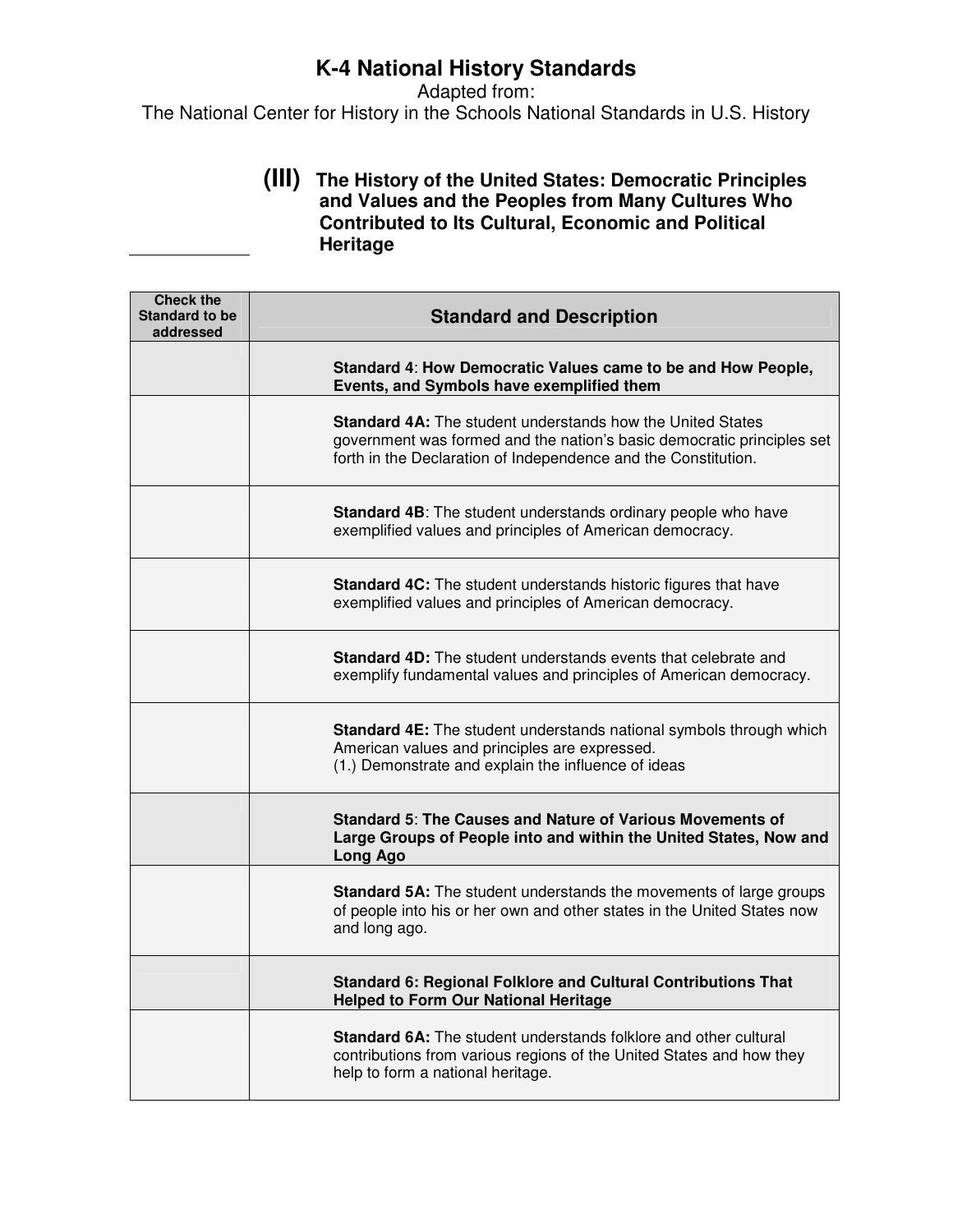Adapted from: The National Center for History in the Schools National Standards in U.S. History

#### **(III) The History of the United States: Democratic Principles and Values and the Peoples from Many Cultures Who Contributed to Its Cultural, Economic and Political Heritage**

| <b>Check the</b><br><b>Standard to be</b><br>addressed | <b>Standard and Description</b>                                                                                                                                                                               |
|--------------------------------------------------------|---------------------------------------------------------------------------------------------------------------------------------------------------------------------------------------------------------------|
|                                                        | Standard 4: How Democratic Values came to be and How People,<br>Events, and Symbols have exemplified them                                                                                                     |
|                                                        | <b>Standard 4A:</b> The student understands how the United States<br>government was formed and the nation's basic democratic principles set<br>forth in the Declaration of Independence and the Constitution. |
|                                                        | <b>Standard 4B:</b> The student understands ordinary people who have<br>exemplified values and principles of American democracy.                                                                              |
|                                                        | <b>Standard 4C:</b> The student understands historic figures that have<br>exemplified values and principles of American democracy.                                                                            |
|                                                        | <b>Standard 4D:</b> The student understands events that celebrate and<br>exemplify fundamental values and principles of American democracy.                                                                   |
|                                                        | Standard 4E: The student understands national symbols through which<br>American values and principles are expressed.<br>(1.) Demonstrate and explain the influence of ideas                                   |
|                                                        | Standard 5: The Causes and Nature of Various Movements of<br>Large Groups of People into and within the United States, Now and<br><b>Long Ago</b>                                                             |
|                                                        | <b>Standard 5A:</b> The student understands the movements of large groups<br>of people into his or her own and other states in the United States now<br>and long ago.                                         |
|                                                        | Standard 6: Regional Folklore and Cultural Contributions That<br><b>Helped to Form Our National Heritage</b>                                                                                                  |
|                                                        | <b>Standard 6A:</b> The student understands folklore and other cultural<br>contributions from various regions of the United States and how they<br>help to form a national heritage.                          |